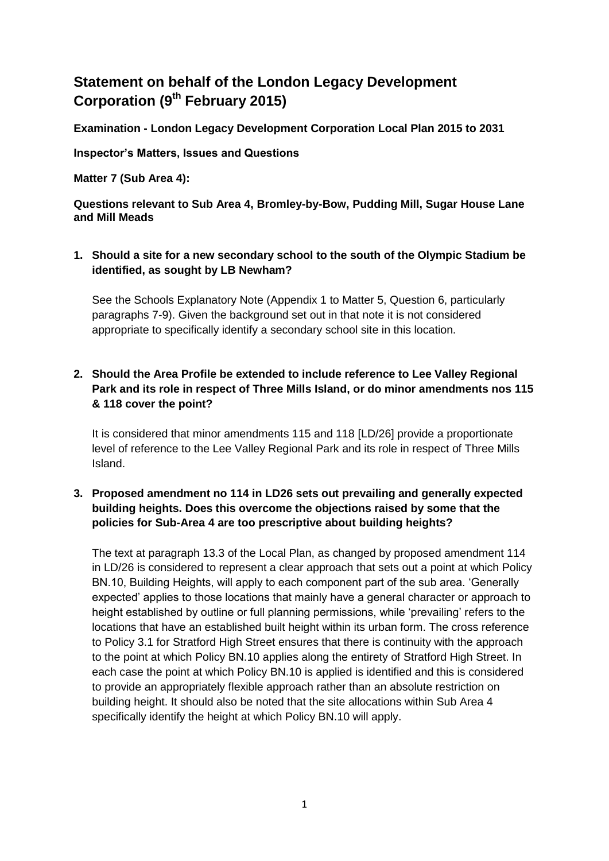# **Statement on behalf of the London Legacy Development Corporation (9th February 2015)**

**Examination - London Legacy Development Corporation Local Plan 2015 to 2031**

**Inspector's Matters, Issues and Questions** 

**Matter 7 (Sub Area 4):**

**Questions relevant to Sub Area 4, Bromley-by-Bow, Pudding Mill, Sugar House Lane and Mill Meads**

#### **1. Should a site for a new secondary school to the south of the Olympic Stadium be identified, as sought by LB Newham?**

See the Schools Explanatory Note (Appendix 1 to Matter 5, Question 6, particularly paragraphs 7-9). Given the background set out in that note it is not considered appropriate to specifically identify a secondary school site in this location.

## **2. Should the Area Profile be extended to include reference to Lee Valley Regional Park and its role in respect of Three Mills Island, or do minor amendments nos 115 & 118 cover the point?**

It is considered that minor amendments 115 and 118 [LD/26] provide a proportionate level of reference to the Lee Valley Regional Park and its role in respect of Three Mills Island.

## **3. Proposed amendment no 114 in LD26 sets out prevailing and generally expected building heights. Does this overcome the objections raised by some that the policies for Sub-Area 4 are too prescriptive about building heights?**

The text at paragraph 13.3 of the Local Plan, as changed by proposed amendment 114 in LD/26 is considered to represent a clear approach that sets out a point at which Policy BN.10, Building Heights, will apply to each component part of the sub area. 'Generally expected' applies to those locations that mainly have a general character or approach to height established by outline or full planning permissions, while 'prevailing' refers to the locations that have an established built height within its urban form. The cross reference to Policy 3.1 for Stratford High Street ensures that there is continuity with the approach to the point at which Policy BN.10 applies along the entirety of Stratford High Street. In each case the point at which Policy BN.10 is applied is identified and this is considered to provide an appropriately flexible approach rather than an absolute restriction on building height. It should also be noted that the site allocations within Sub Area 4 specifically identify the height at which Policy BN.10 will apply.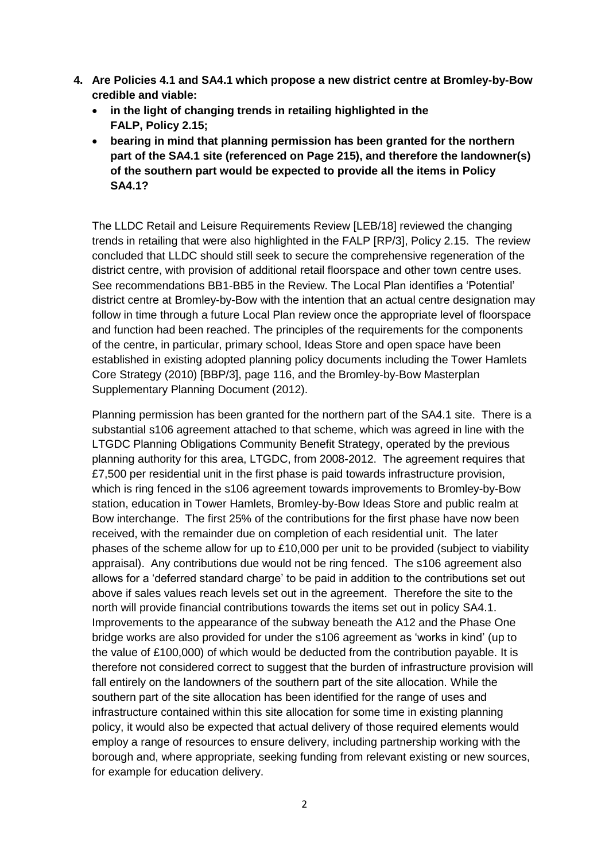- **4. Are Policies 4.1 and SA4.1 which propose a new district centre at Bromley-by-Bow credible and viable:**
	- **in the light of changing trends in retailing highlighted in the FALP, Policy 2.15;**
	- **bearing in mind that planning permission has been granted for the northern part of the SA4.1 site (referenced on Page 215), and therefore the landowner(s) of the southern part would be expected to provide all the items in Policy SA4.1?**

The LLDC Retail and Leisure Requirements Review [LEB/18] reviewed the changing trends in retailing that were also highlighted in the FALP [RP/3], Policy 2.15. The review concluded that LLDC should still seek to secure the comprehensive regeneration of the district centre, with provision of additional retail floorspace and other town centre uses. See recommendations BB1-BB5 in the Review. The Local Plan identifies a 'Potential' district centre at Bromley-by-Bow with the intention that an actual centre designation may follow in time through a future Local Plan review once the appropriate level of floorspace and function had been reached. The principles of the requirements for the components of the centre, in particular, primary school, Ideas Store and open space have been established in existing adopted planning policy documents including the Tower Hamlets Core Strategy (2010) [BBP/3], page 116, and the Bromley-by-Bow Masterplan Supplementary Planning Document (2012).

Planning permission has been granted for the northern part of the SA4.1 site. There is a substantial s106 agreement attached to that scheme, which was agreed in line with the LTGDC Planning Obligations Community Benefit Strategy, operated by the previous planning authority for this area, LTGDC, from 2008-2012. The agreement requires that £7,500 per residential unit in the first phase is paid towards infrastructure provision, which is ring fenced in the s106 agreement towards improvements to Bromley-by-Bow station, education in Tower Hamlets, Bromley-by-Bow Ideas Store and public realm at Bow interchange. The first 25% of the contributions for the first phase have now been received, with the remainder due on completion of each residential unit. The later phases of the scheme allow for up to £10,000 per unit to be provided (subject to viability appraisal). Any contributions due would not be ring fenced. The s106 agreement also allows for a 'deferred standard charge' to be paid in addition to the contributions set out above if sales values reach levels set out in the agreement. Therefore the site to the north will provide financial contributions towards the items set out in policy SA4.1. Improvements to the appearance of the subway beneath the A12 and the Phase One bridge works are also provided for under the s106 agreement as 'works in kind' (up to the value of £100,000) of which would be deducted from the contribution payable. It is therefore not considered correct to suggest that the burden of infrastructure provision will fall entirely on the landowners of the southern part of the site allocation. While the southern part of the site allocation has been identified for the range of uses and infrastructure contained within this site allocation for some time in existing planning policy, it would also be expected that actual delivery of those required elements would employ a range of resources to ensure delivery, including partnership working with the borough and, where appropriate, seeking funding from relevant existing or new sources, for example for education delivery.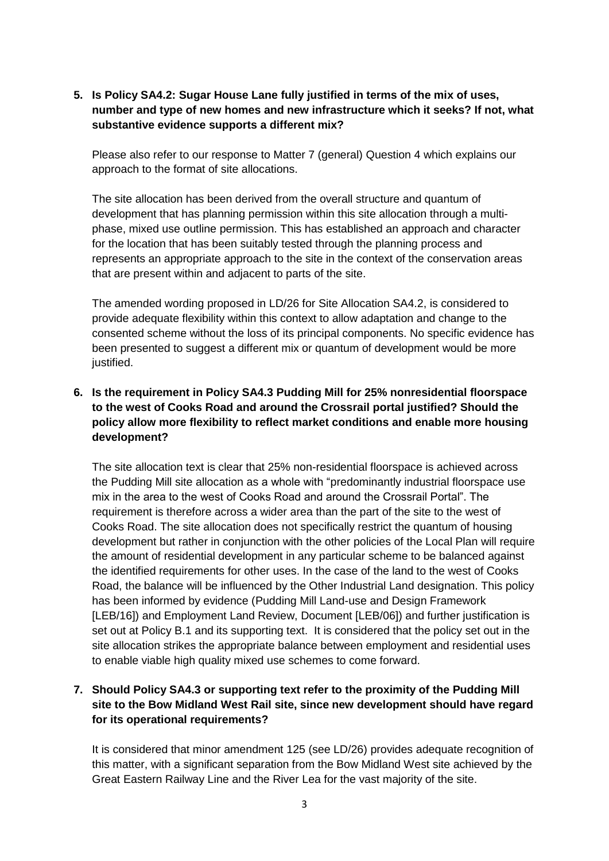**5. Is Policy SA4.2: Sugar House Lane fully justified in terms of the mix of uses, number and type of new homes and new infrastructure which it seeks? If not, what substantive evidence supports a different mix?**

Please also refer to our response to Matter 7 (general) Question 4 which explains our approach to the format of site allocations.

The site allocation has been derived from the overall structure and quantum of development that has planning permission within this site allocation through a multiphase, mixed use outline permission. This has established an approach and character for the location that has been suitably tested through the planning process and represents an appropriate approach to the site in the context of the conservation areas that are present within and adjacent to parts of the site.

The amended wording proposed in LD/26 for Site Allocation SA4.2, is considered to provide adequate flexibility within this context to allow adaptation and change to the consented scheme without the loss of its principal components. No specific evidence has been presented to suggest a different mix or quantum of development would be more justified.

## **6. Is the requirement in Policy SA4.3 Pudding Mill for 25% nonresidential floorspace to the west of Cooks Road and around the Crossrail portal justified? Should the policy allow more flexibility to reflect market conditions and enable more housing development?**

The site allocation text is clear that 25% non-residential floorspace is achieved across the Pudding Mill site allocation as a whole with "predominantly industrial floorspace use mix in the area to the west of Cooks Road and around the Crossrail Portal". The requirement is therefore across a wider area than the part of the site to the west of Cooks Road. The site allocation does not specifically restrict the quantum of housing development but rather in conjunction with the other policies of the Local Plan will require the amount of residential development in any particular scheme to be balanced against the identified requirements for other uses. In the case of the land to the west of Cooks Road, the balance will be influenced by the Other Industrial Land designation. This policy has been informed by evidence (Pudding Mill Land-use and Design Framework [LEB/16]) and Employment Land Review, Document [LEB/06]) and further justification is set out at Policy B.1 and its supporting text. It is considered that the policy set out in the site allocation strikes the appropriate balance between employment and residential uses to enable viable high quality mixed use schemes to come forward.

## **7. Should Policy SA4.3 or supporting text refer to the proximity of the Pudding Mill site to the Bow Midland West Rail site, since new development should have regard for its operational requirements?**

It is considered that minor amendment 125 (see LD/26) provides adequate recognition of this matter, with a significant separation from the Bow Midland West site achieved by the Great Eastern Railway Line and the River Lea for the vast majority of the site.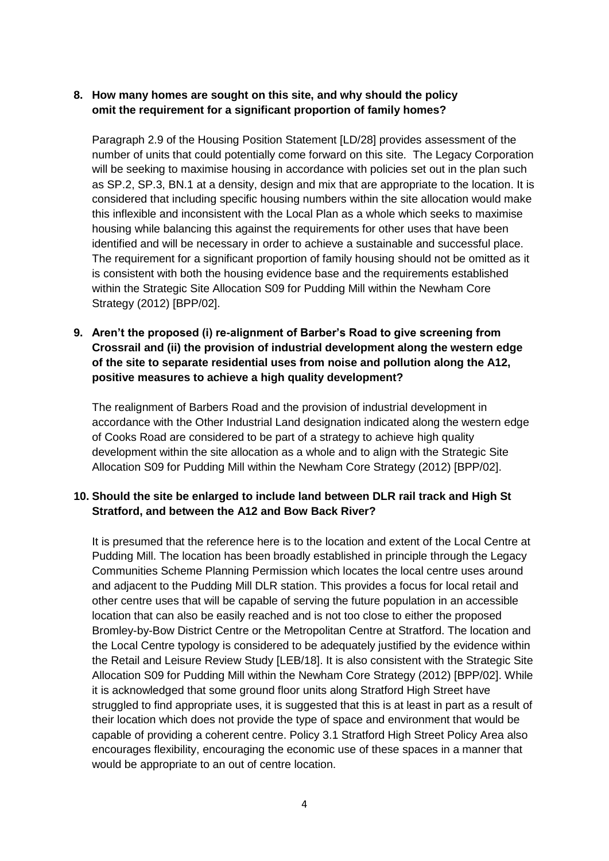#### **8. How many homes are sought on this site, and why should the policy omit the requirement for a significant proportion of family homes?**

Paragraph 2.9 of the Housing Position Statement [LD/28] provides assessment of the number of units that could potentially come forward on this site. The Legacy Corporation will be seeking to maximise housing in accordance with policies set out in the plan such as SP.2, SP.3, BN.1 at a density, design and mix that are appropriate to the location. It is considered that including specific housing numbers within the site allocation would make this inflexible and inconsistent with the Local Plan as a whole which seeks to maximise housing while balancing this against the requirements for other uses that have been identified and will be necessary in order to achieve a sustainable and successful place. The requirement for a significant proportion of family housing should not be omitted as it is consistent with both the housing evidence base and the requirements established within the Strategic Site Allocation S09 for Pudding Mill within the Newham Core Strategy (2012) [BPP/02].

## **9. Aren't the proposed (i) re-alignment of Barber's Road to give screening from Crossrail and (ii) the provision of industrial development along the western edge of the site to separate residential uses from noise and pollution along the A12, positive measures to achieve a high quality development?**

The realignment of Barbers Road and the provision of industrial development in accordance with the Other Industrial Land designation indicated along the western edge of Cooks Road are considered to be part of a strategy to achieve high quality development within the site allocation as a whole and to align with the Strategic Site Allocation S09 for Pudding Mill within the Newham Core Strategy (2012) [BPP/02].

#### **10. Should the site be enlarged to include land between DLR rail track and High St Stratford, and between the A12 and Bow Back River?**

It is presumed that the reference here is to the location and extent of the Local Centre at Pudding Mill. The location has been broadly established in principle through the Legacy Communities Scheme Planning Permission which locates the local centre uses around and adjacent to the Pudding Mill DLR station. This provides a focus for local retail and other centre uses that will be capable of serving the future population in an accessible location that can also be easily reached and is not too close to either the proposed Bromley-by-Bow District Centre or the Metropolitan Centre at Stratford. The location and the Local Centre typology is considered to be adequately justified by the evidence within the Retail and Leisure Review Study [LEB/18]. It is also consistent with the Strategic Site Allocation S09 for Pudding Mill within the Newham Core Strategy (2012) [BPP/02]. While it is acknowledged that some ground floor units along Stratford High Street have struggled to find appropriate uses, it is suggested that this is at least in part as a result of their location which does not provide the type of space and environment that would be capable of providing a coherent centre. Policy 3.1 Stratford High Street Policy Area also encourages flexibility, encouraging the economic use of these spaces in a manner that would be appropriate to an out of centre location.